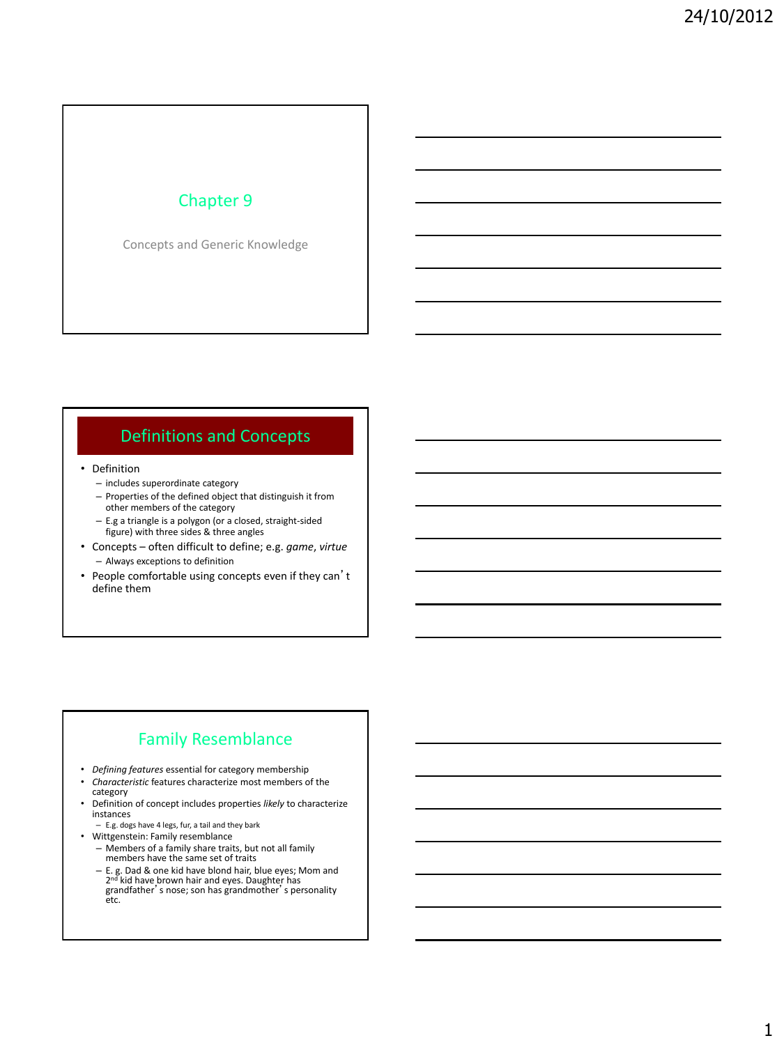### Chapter 9

Concepts and Generic Knowledge

### Definitions and Concepts

- Definition
	- includes superordinate category
	- Properties of the defined object that distinguish it from other members of the category
	- E.g a triangle is a polygon (or a closed, straight-sided figure) with three sides & three angles
- Concepts often difficult to define; e.g. *game*, *virtue* – Always exceptions to definition
- People comfortable using concepts even if they can't define them

### Family Resemblance

- *Defining features* essential for category membership • *Characteristic* features characterize most members of the
- category • Definition of concept includes properties *likely* to characterize
- instances – E.g. dogs have 4 legs, fur, a tail and they bark
- Wittgenstein: Family resemblance
	- Members of a family share traits, but not all family members have the same set of traits
	- E. g. Dad & one kid have blond hair, blue eyes; Mom and<br>2<sup>nd</sup> kid have brown hair and eyes. Daughter has grandfather's nose; son has grandmother's personality etc.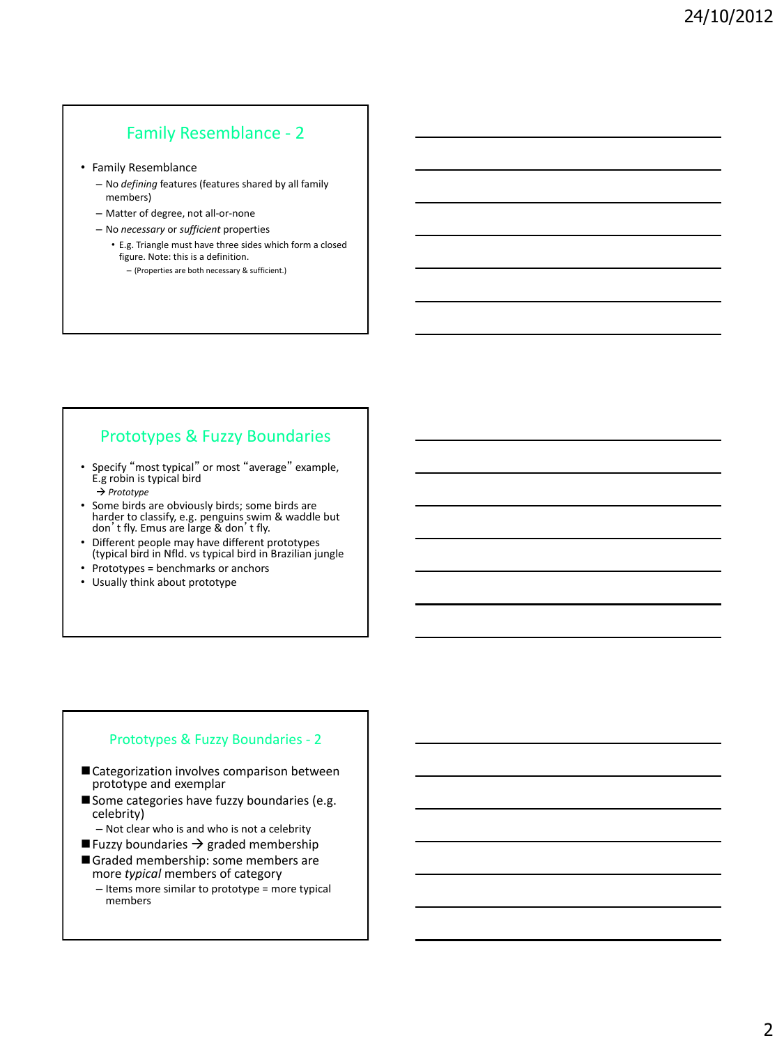### Family Resemblance - 2

- Family Resemblance
	- No *defining* features (features shared by all family members)
	- Matter of degree, not all-or-none
	- No *necessary* or *sufficient* properties
		- E.g. Triangle must have three sides which form a closed figure. Note: this is a definition. – (Properties are both necessary & sufficient.)

### Prototypes & Fuzzy Boundaries

- Specify "most typical" or most "average" example, E.g robin is typical bird *Prototype*
- Some birds are obviously birds; some birds are harder to classify, e.g. penguins swim & waddle but don't fly. Emus are large & don't fly.
- Different people may have different prototypes (typical bird in Nfld. vs typical bird in Brazilian jungle
- Prototypes = benchmarks or anchors
- Usually think about prototype

#### Prototypes & Fuzzy Boundaries - 2

- Categorization involves comparison between prototype and exemplar
- Some categories have fuzzy boundaries (e.g. celebrity)
	- Not clear who is and who is not a celebrity
- **Fuzzy boundaries**  $\rightarrow$  **graded membership**
- Graded membership: some members are more *typical* members of category
	- Items more similar to prototype = more typical members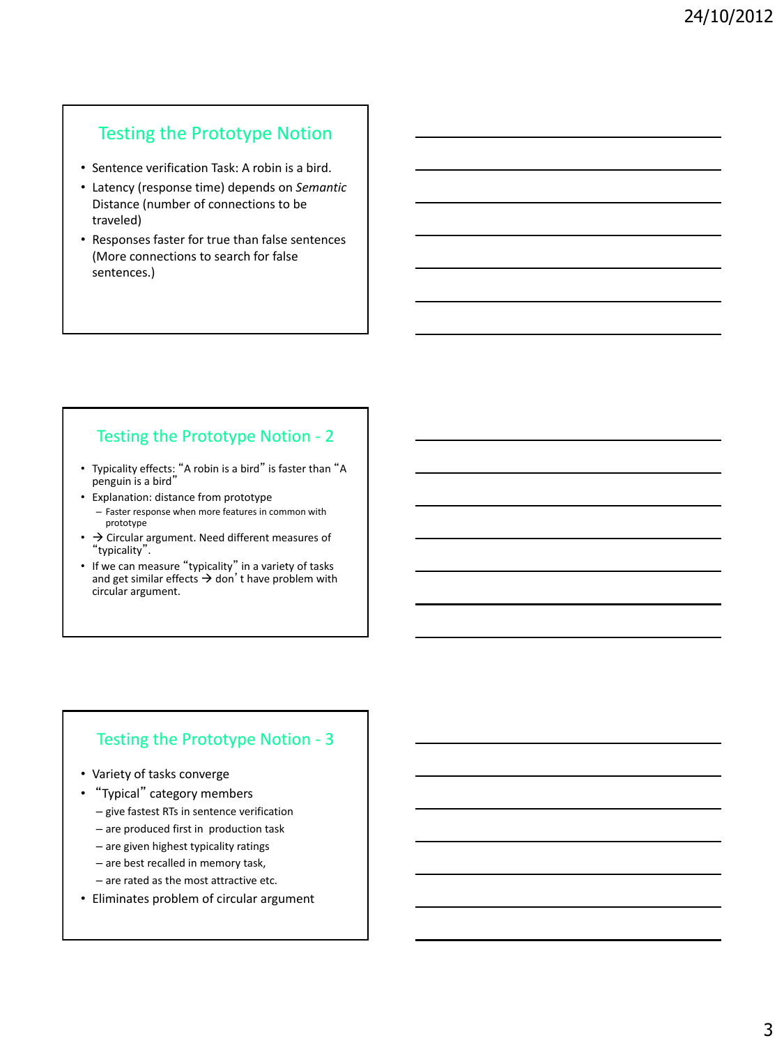## Testing the Prototype Notion

- Sentence verification Task: A robin is a bird.
- Latency (response time) depends on *Semantic*  Distance (number of connections to be traveled)
- Responses faster for true than false sentences (More connections to search for false sentences.)

### Testing the Prototype Notion - 2

- Typicality effects: "A robin is a bird" is faster than "A penguin is a bird"
- Explanation: distance from prototype
- Faster response when more features in common with prototype
- $\cdot$   $\rightarrow$  Circular argument. Need different measures of "typicality".
- If we can measure "typicality" in a variety of tasks and get similar effects  $\rightarrow$  don't have problem with circular argument.

### Testing the Prototype Notion - 3

- Variety of tasks converge
- "Typical" category members
	- give fastest RTs in sentence verification
	- are produced first in production task
	- are given highest typicality ratings
	- are best recalled in memory task,
	- are rated as the most attractive etc.
- Eliminates problem of circular argument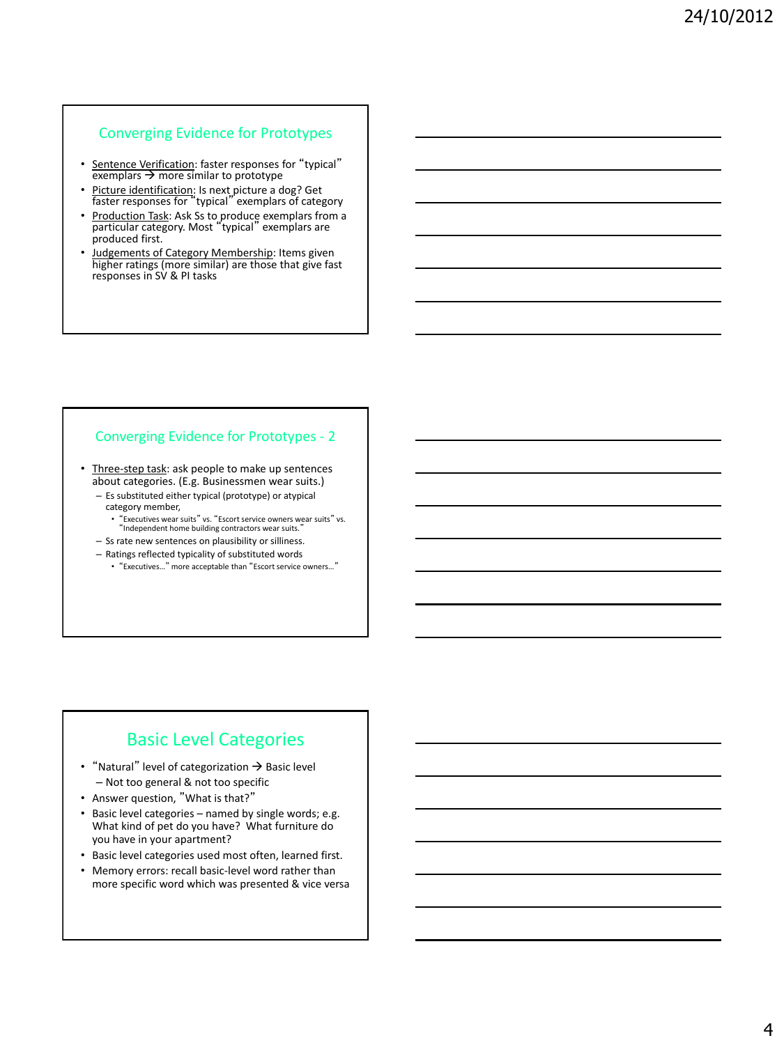#### Converging Evidence for Prototypes

- **•** Sentence Verification: faster responses for "typical" exemplars  $\rightarrow$  more similar to prototype
- Picture identification: Is next picture a dog? Get faster responses for "typical" exemplars of category
- Production Task: Ask Ss to produce exemplars from a<br>particular category. Most "typical" exemplars are produced first.
- Judgements of Category Membership: Items given higher ratings (more similar) are those that give fast responses in SV & PI tasks

#### Converging Evidence for Prototypes - 2

• Three-step task: ask people to make up sentences about categories. (E.g. Businessmen wear suits.)

- Es substituted either typical (prototype) or atypical
- category member,
- "Executives wear suits" vs. "Escort service owners wear suits" vs. "Independent home building contractors wear suits." – Ss rate new sentences on plausibility or silliness.
- Ratings reflected typicality of substituted words
	- "Executives…" more acceptable than "Escort service owners…"

### Basic Level Categories

- "Natural" level of categorization  $\rightarrow$  Basic level – Not too general & not too specific
- Answer question, "What is that?"
- Basic level categories named by single words; e.g. What kind of pet do you have? What furniture do you have in your apartment?
- Basic level categories used most often, learned first.
- Memory errors: recall basic-level word rather than more specific word which was presented & vice versa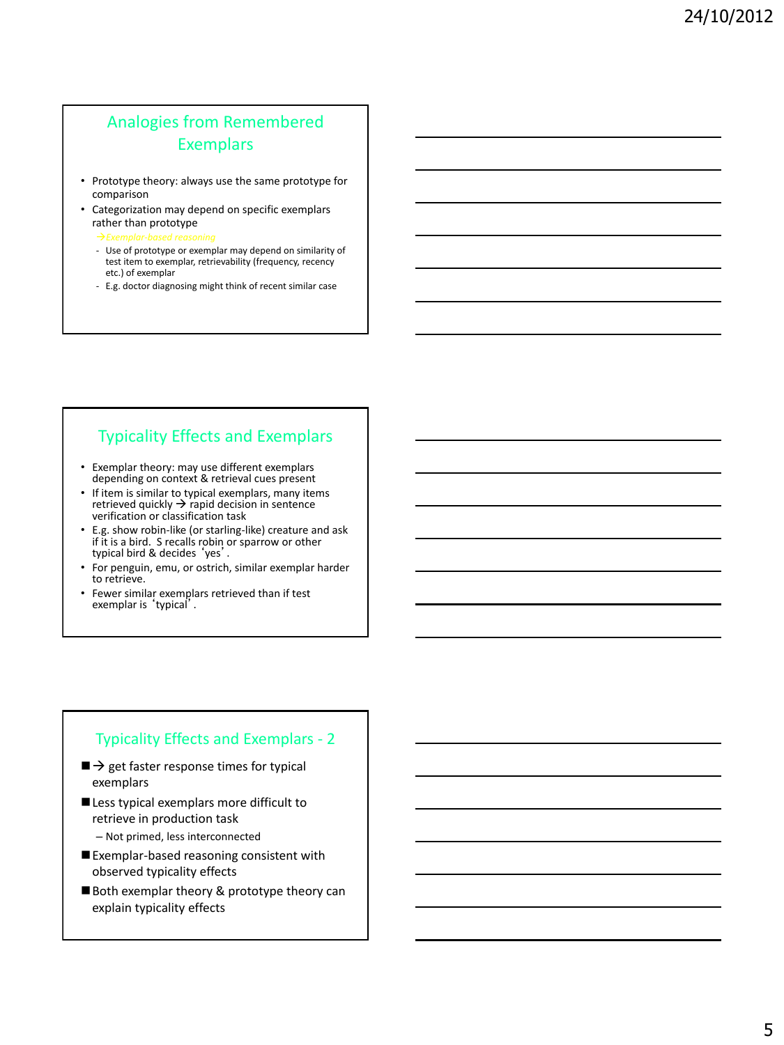## Analogies from Remembered Exemplars

- Prototype theory: always use the same prototype for comparison
- Categorization may depend on specific exemplars rather than prototype
	- *Exemplar-based reasoning*
	- Use of prototype or exemplar may depend on similarity of test item to exemplar, retrievability (frequency, recency etc.) of exemplar
	- E.g. doctor diagnosing might think of recent similar case

### Typicality Effects and Exemplars

- Exemplar theory: may use different exemplars depending on context & retrieval cues present
- If item is similar to typical exemplars, many items retrieved quickly  $\rightarrow$  rapid decision in sentence verification or classification task
- E.g. show robin-like (or starling-like) creature and ask if it is a bird. S recalls robin or sparrow or other typical bird & decides 'yes'.
- For penguin, emu, or ostrich, similar exemplar harder to retrieve.
- Fewer similar exemplars retrieved than if test exemplar is 'typical'.

### Typicality Effects and Exemplars - 2

- $\blacksquare$   $\rightarrow$  get faster response times for typical exemplars
- Less typical exemplars more difficult to retrieve in production task
	- Not primed, less interconnected
- Exemplar-based reasoning consistent with observed typicality effects
- Both exemplar theory & prototype theory can explain typicality effects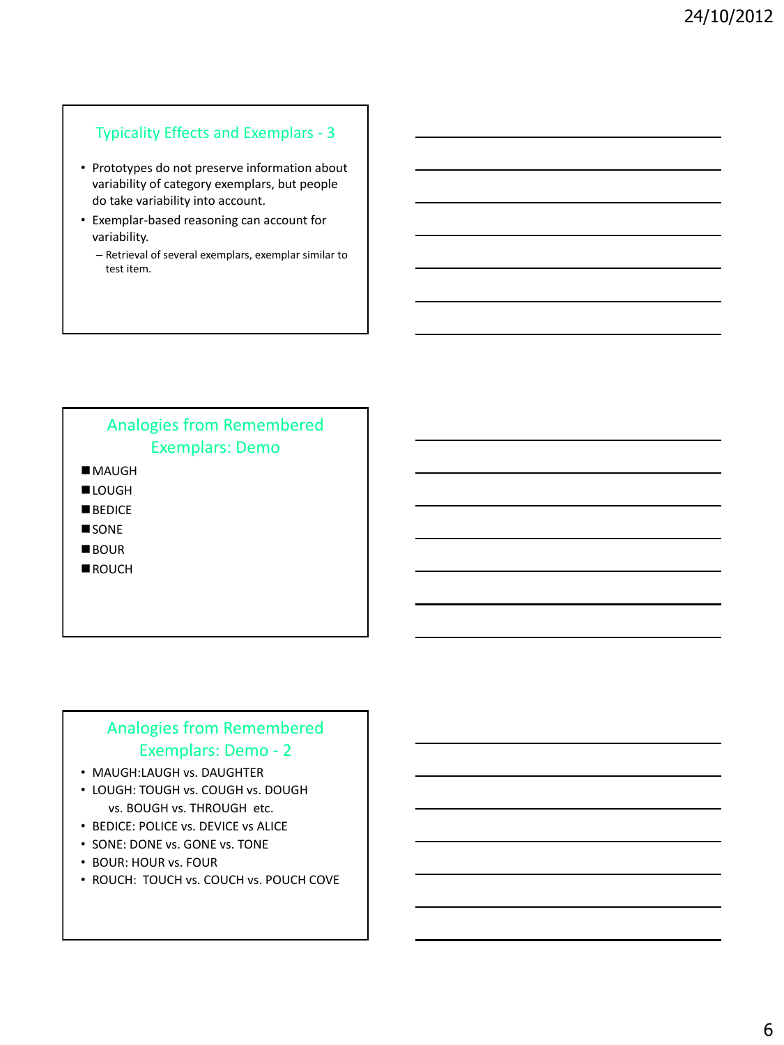### Typicality Effects and Exemplars - 3

- Prototypes do not preserve information about variability of category exemplars, but people do take variability into account.
- Exemplar-based reasoning can account for variability.
	- Retrieval of several exemplars, exemplar similar to test item.

# Analogies from Remembered Exemplars: Demo

MAUGH **LOUGH** 

- **BEDICE**
- **SONE**
- **BOUR**
- ROUCH

### Analogies from Remembered Exemplars: Demo - 2

- MAUGH:LAUGH vs. DAUGHTER
- LOUGH: TOUGH vs. COUGH vs. DOUGH vs. BOUGH vs. THROUGH etc.
- BEDICE: POLICE vs. DEVICE vs ALICE
- SONE: DONE vs. GONE vs. TONE
- BOUR: HOUR vs. FOUR
- ROUCH: TOUCH vs. COUCH vs. POUCH COVE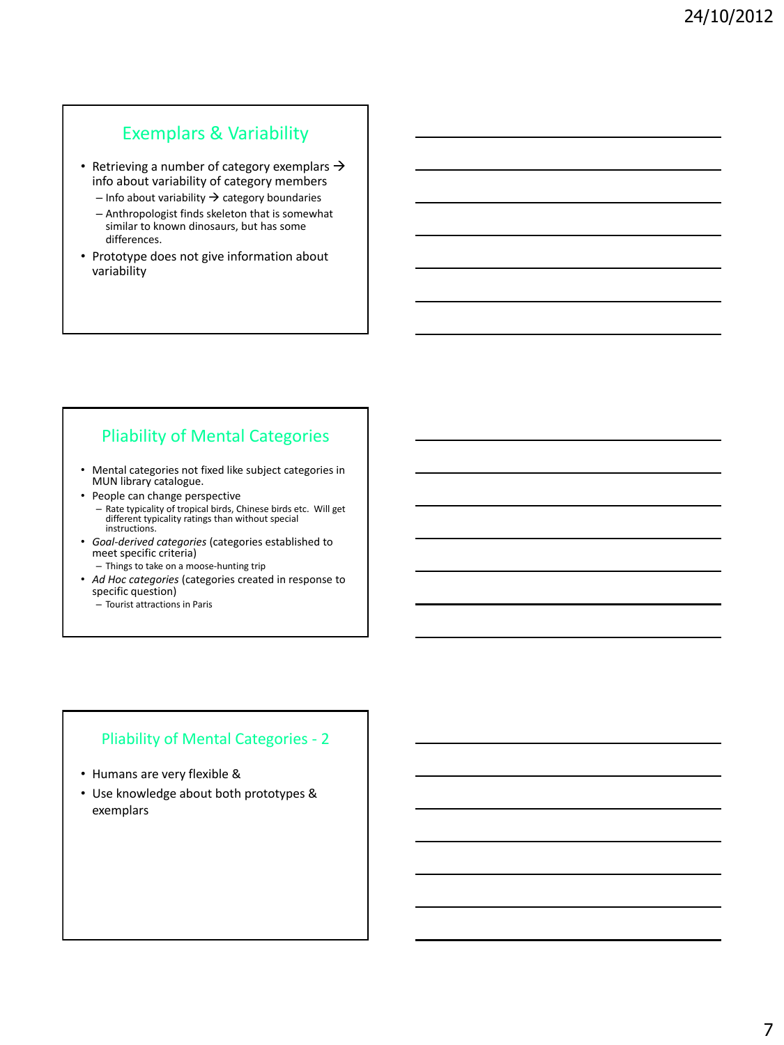### Exemplars & Variability

- Retrieving a number of category exemplars  $\rightarrow$ info about variability of category members
	- $-$  Info about variability  $\rightarrow$  category boundaries
	- Anthropologist finds skeleton that is somewhat similar to known dinosaurs, but has some differences.
- Prototype does not give information about variability

## Pliability of Mental Categories

- Mental categories not fixed like subject categories in MUN library catalogue.
- People can change perspective
	- Rate typicality of tropical birds, Chinese birds etc. Will get different typicality ratings than without special instructions.
- *Goal-derived categories* (categories established to meet specific criteria)
	- Things to take on a moose-hunting trip
- *Ad Hoc categories* (categories created in response to specific question)
	- Tourist attractions in Paris

#### Pliability of Mental Categories - 2

- Humans are very flexible &
- Use knowledge about both prototypes & exemplars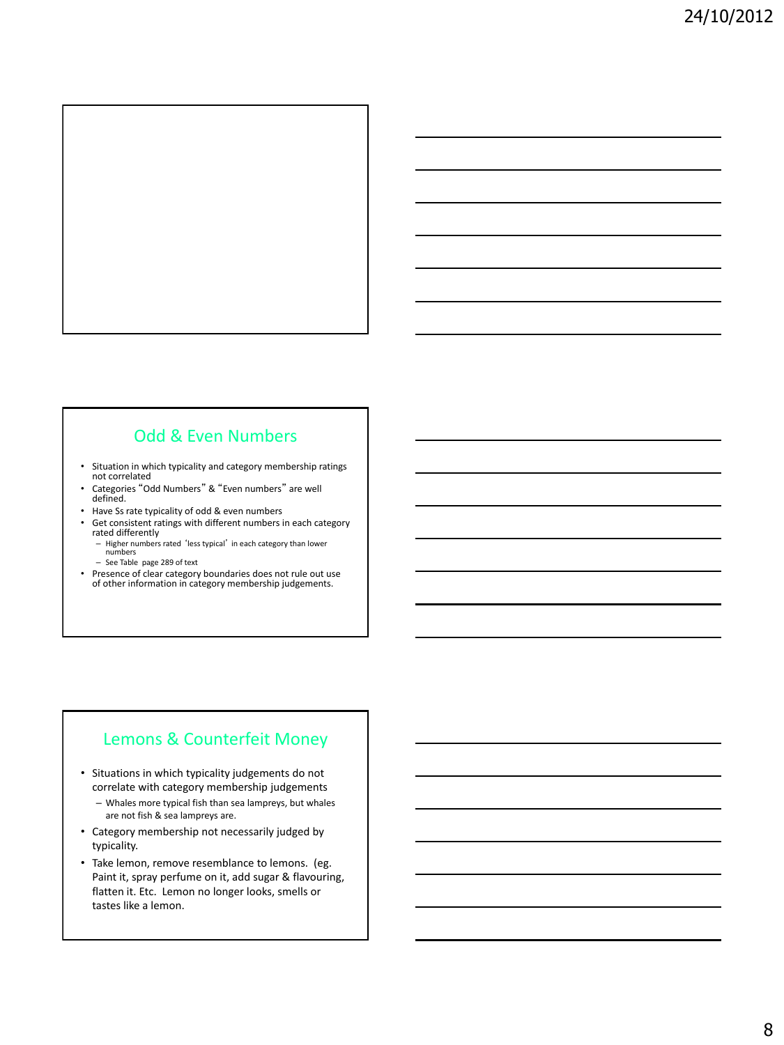

### Odd & Even Numbers

- Situation in which typicality and category membership ratings not correlated
- Categories "Odd Numbers" & "Even numbers" are well defined.
- Have Ss rate typicality of odd & even numbers
- Get consistent ratings with different numbers in each category rated differently
	- Higher numbers rated 'less typical' in each category than lower
	- numbers See Table page 289 of text
- Presence of clear category boundaries does not rule out use of other information in category membership judgements.

### Lemons & Counterfeit Money

- Situations in which typicality judgements do not correlate with category membership judgements
	- Whales more typical fish than sea lampreys, but whales are not fish & sea lampreys are.
- Category membership not necessarily judged by typicality.
- Take lemon, remove resemblance to lemons. (eg. Paint it, spray perfume on it, add sugar & flavouring, flatten it. Etc. Lemon no longer looks, smells or tastes like a lemon.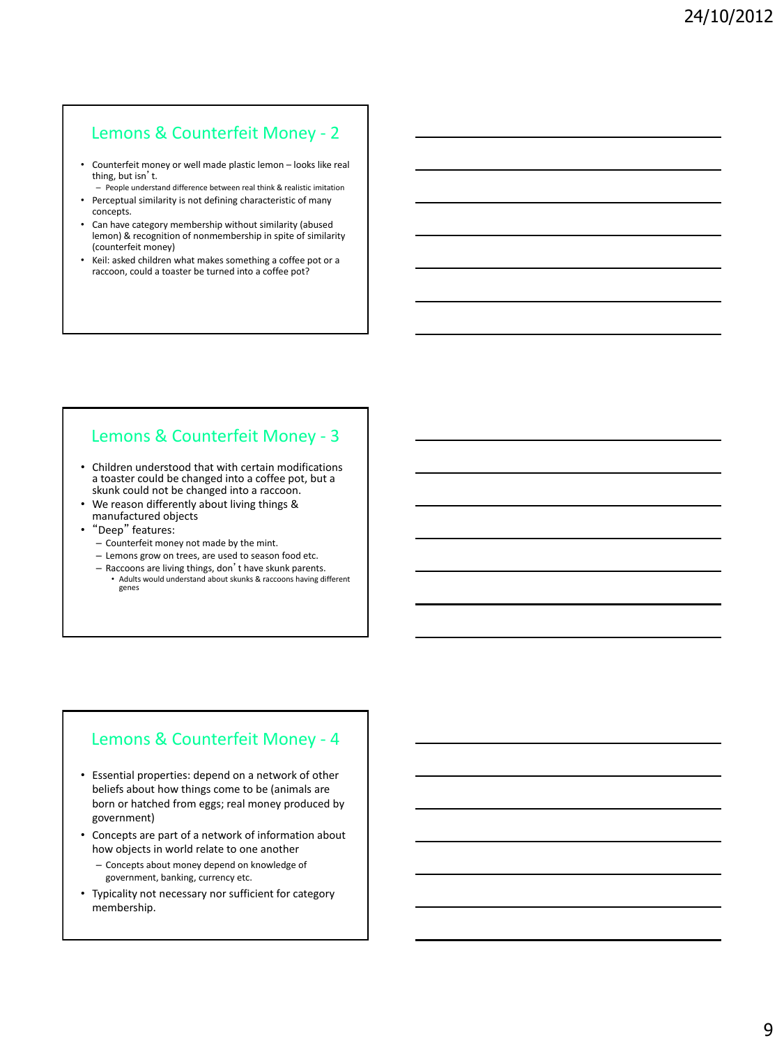### Lemons & Counterfeit Money - 2

- Counterfeit money or well made plastic lemon looks like real thing, but isn't.
- People understand difference between real think & realistic imitation
- Perceptual similarity is not defining characteristic of many concepts.
- Can have category membership without similarity (abused lemon) & recognition of nonmembership in spite of similarity (counterfeit money)
- Keil: asked children what makes something a coffee pot or a raccoon, could a toaster be turned into a coffee pot?

## Lemons & Counterfeit Money - 3

- Children understood that with certain modifications a toaster could be changed into a coffee pot, but a skunk could not be changed into a raccoon.
- We reason differently about living things & manufactured objects
- "Deep" features:
	- Counterfeit money not made by the mint.
	- Lemons grow on trees, are used to season food etc.
	- Raccoons are living things, don't have skunk parents. • Adults would understand about skunks & raccoons having different genes

### Lemons & Counterfeit Money - 4

- Essential properties: depend on a network of other beliefs about how things come to be (animals are born or hatched from eggs; real money produced by government)
- Concepts are part of a network of information about how objects in world relate to one another
	- Concepts about money depend on knowledge of government, banking, currency etc.
- Typicality not necessary nor sufficient for category membership.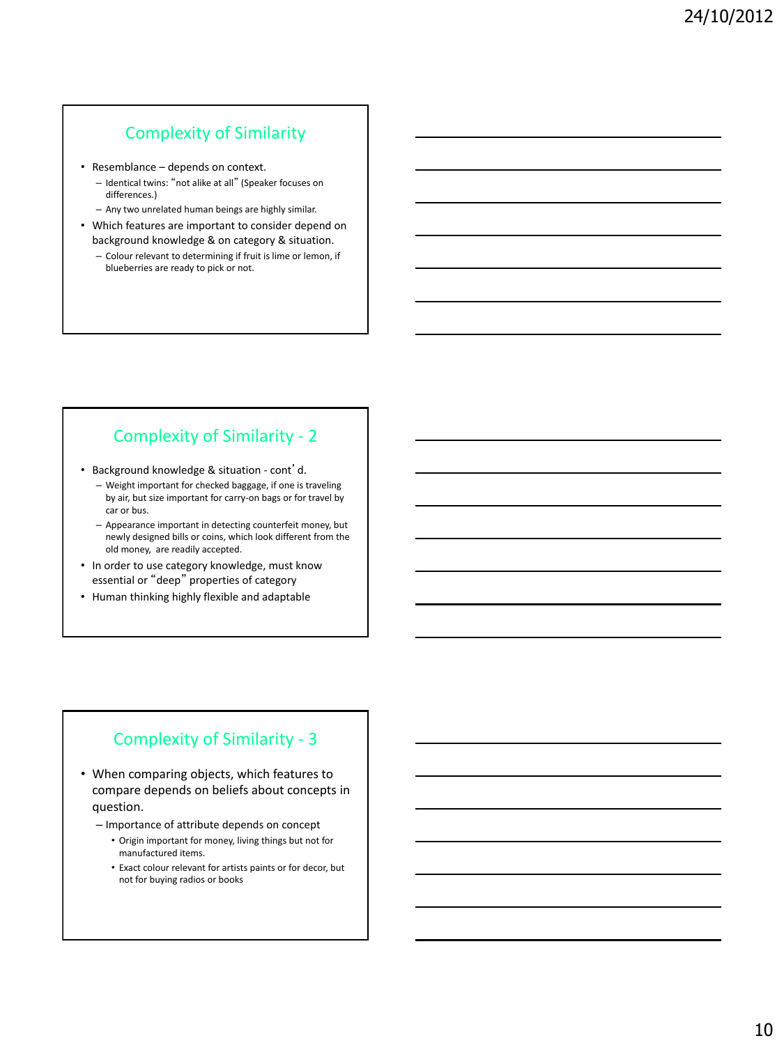### Complexity of Similarity

- Resemblance depends on context.
	- Identical twins: "not alike at all" (Speaker focuses on differences.)
	- Any two unrelated human beings are highly similar.
- Which features are important to consider depend on background knowledge & on category & situation.
	- Colour relevant to determining if fruit is lime or lemon, if blueberries are ready to pick or not.

## Complexity of Similarity - 2

• Background knowledge & situation - cont'd.

- Weight important for checked baggage, if one is traveling by air, but size important for carry-on bags or for travel by car or bus.
- Appearance important in detecting counterfeit money, but newly designed bills or coins, which look different from the old money, are readily accepted.
- In order to use category knowledge, must know essential or "deep" properties of category
- Human thinking highly flexible and adaptable

### Complexity of Similarity - 3

- When comparing objects, which features to compare depends on beliefs about concepts in question.
	- Importance of attribute depends on concept
		- Origin important for money, living things but not for manufactured items.
		- Exact colour relevant for artists paints or for decor, but not for buying radios or books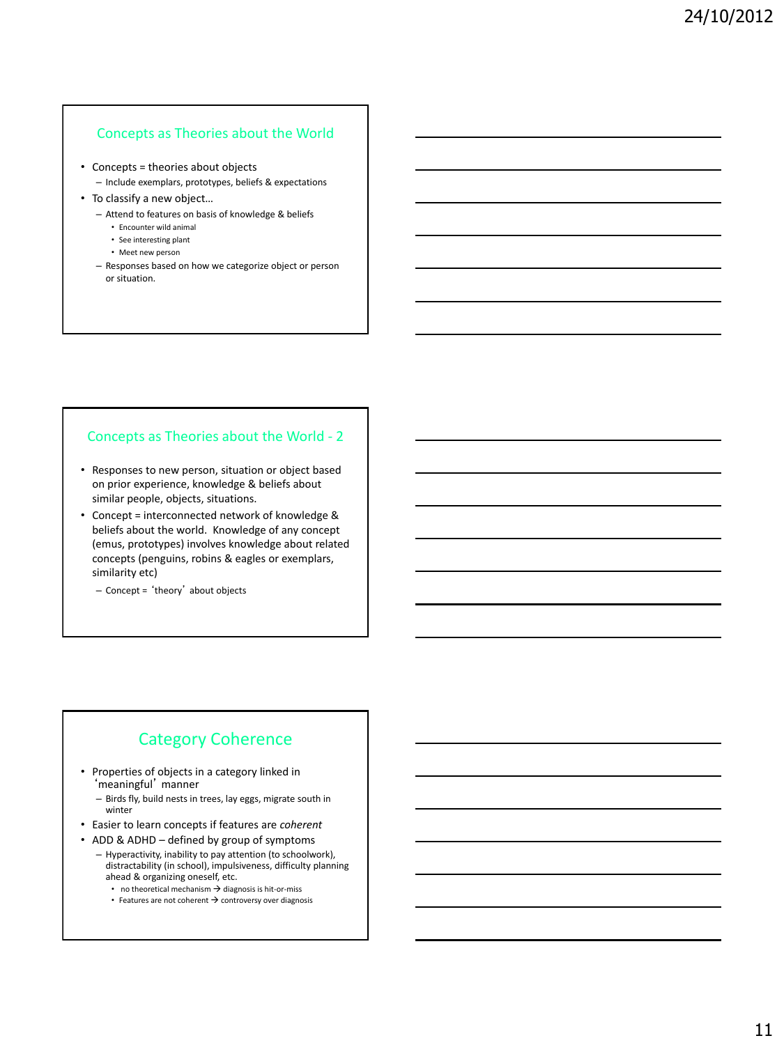#### Concepts as Theories about the World

- Concepts = theories about objects
	- Include exemplars, prototypes, beliefs & expectations
- To classify a new object…
	- Attend to features on basis of knowledge & beliefs
		- Encounter wild animal
		- See interesting plant
		- Meet new person
	- Responses based on how we categorize object or person or situation.

#### Concepts as Theories about the World - 2

- Responses to new person, situation or object based on prior experience, knowledge & beliefs about similar people, objects, situations.
- Concept = interconnected network of knowledge & beliefs about the world. Knowledge of any concept (emus, prototypes) involves knowledge about related concepts (penguins, robins & eagles or exemplars, similarity etc)
	- Concept = 'theory' about objects

## Category Coherence

- Properties of objects in a category linked in 'meaningful' manner
	- Birds fly, build nests in trees, lay eggs, migrate south in winter
- Easier to learn concepts if features are *coherent*
- ADD & ADHD defined by group of symptoms
	- Hyperactivity, inability to pay attention (to schoolwork), distractability (in school), impulsiveness, difficulty planning ahead & organizing oneself, etc.
		- no theoretical mechanism  $\rightarrow$  diagnosis is hit-or-miss
		- Features are not coherent  $\rightarrow$  controversy over diagnosis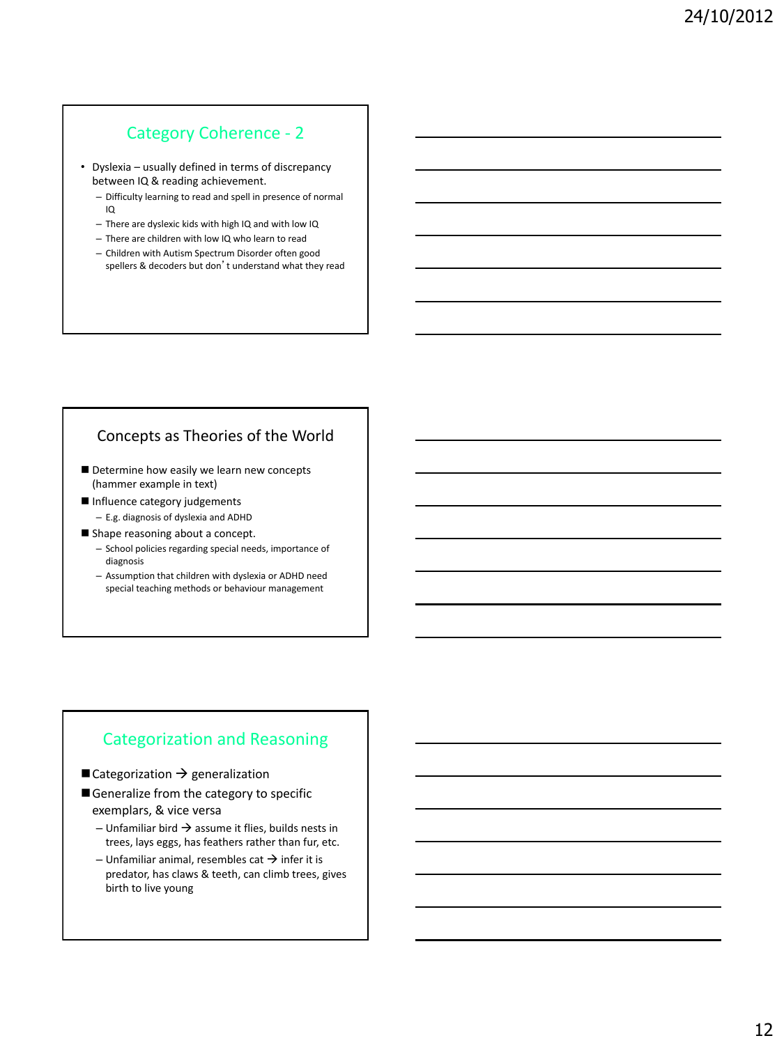### Category Coherence - 2

• Dyslexia – usually defined in terms of discrepancy between IQ & reading achievement.

- Difficulty learning to read and spell in presence of normal IQ
- There are dyslexic kids with high IQ and with low IQ
- There are children with low IQ who learn to read
- Children with Autism Spectrum Disorder often good spellers & decoders but don't understand what they read

### Concepts as Theories of the World

- Determine how easily we learn new concepts (hammer example in text)
- Influence category judgements – E.g. diagnosis of dyslexia and ADHD
- Shape reasoning about a concept.
	- School policies regarding special needs, importance of diagnosis
	- Assumption that children with dyslexia or ADHD need special teaching methods or behaviour management

### Categorization and Reasoning

#### $\blacksquare$  Categorization  $\rightarrow$  generalization

- Generalize from the category to specific exemplars, & vice versa
	- Unfamiliar bird  $\rightarrow$  assume it flies, builds nests in trees, lays eggs, has feathers rather than fur, etc.
	- Unfamiliar animal, resembles cat  $\rightarrow$  infer it is predator, has claws & teeth, can climb trees, gives birth to live young